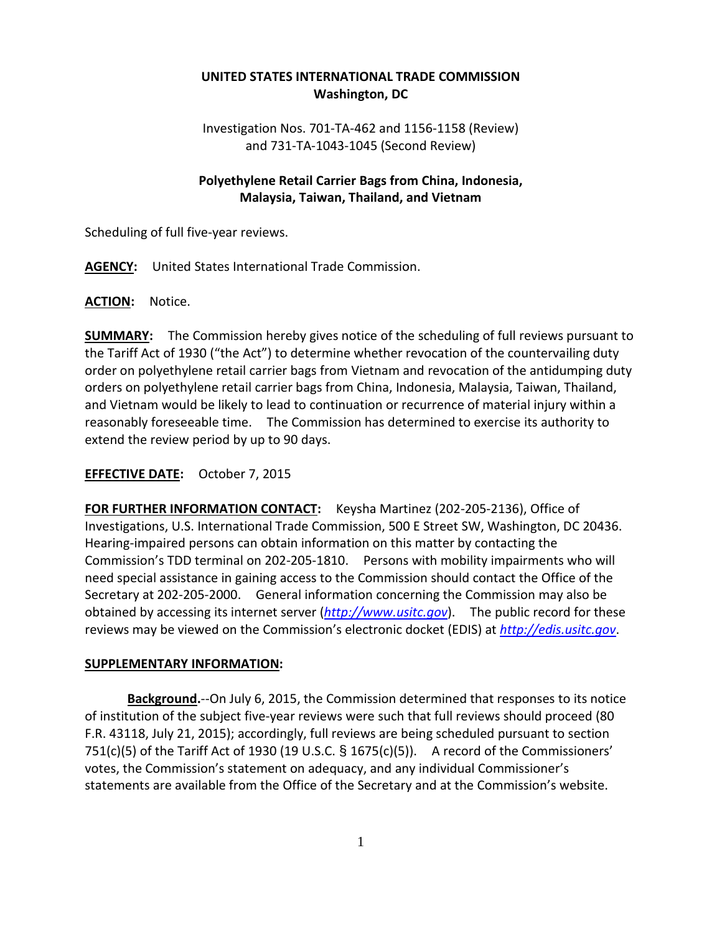# **UNITED STATES INTERNATIONAL TRADE COMMISSION Washington, DC**

Investigation Nos. 701-TA-462 and 1156-1158 (Review) and 731-TA-1043-1045 (Second Review)

## **Polyethylene Retail Carrier Bags from China, Indonesia, Malaysia, Taiwan, Thailand, and Vietnam**

Scheduling of full five-year reviews.

**AGENCY:** United States International Trade Commission.

#### **ACTION:** Notice.

**SUMMARY:** The Commission hereby gives notice of the scheduling of full reviews pursuant to the Tariff Act of 1930 ("the Act") to determine whether revocation of the countervailing duty order on polyethylene retail carrier bags from Vietnam and revocation of the antidumping duty orders on polyethylene retail carrier bags from China, Indonesia, Malaysia, Taiwan, Thailand, and Vietnam would be likely to lead to continuation or recurrence of material injury within a reasonably foreseeable time. The Commission has determined to exercise its authority to extend the review period by up to 90 days.

### **EFFECTIVE DATE:** October 7, 2015

**FOR FURTHER INFORMATION CONTACT:** Keysha Martinez (202-205-2136), Office of Investigations, U.S. International Trade Commission, 500 E Street SW, Washington, DC 20436. Hearing-impaired persons can obtain information on this matter by contacting the Commission's TDD terminal on 202-205-1810. Persons with mobility impairments who will need special assistance in gaining access to the Commission should contact the Office of the Secretary at 202-205-2000. General information concerning the Commission may also be obtained by accessing its internet server (*[http://www.usitc.gov](http://www.usitc.gov/)*). The public record for these reviews may be viewed on the Commission's electronic docket (EDIS) at *[http://edis.usitc.gov](http://edis.usitc.gov/)*.

#### **SUPPLEMENTARY INFORMATION:**

**Background.**--On July 6, 2015, the Commission determined that responses to its notice of institution of the subject five-year reviews were such that full reviews should proceed (80 F.R. 43118, July 21, 2015); accordingly, full reviews are being scheduled pursuant to section 751(c)(5) of the Tariff Act of 1930 (19 U.S.C. § 1675(c)(5)). A record of the Commissioners' votes, the Commission's statement on adequacy, and any individual Commissioner's statements are available from the Office of the Secretary and at the Commission's website.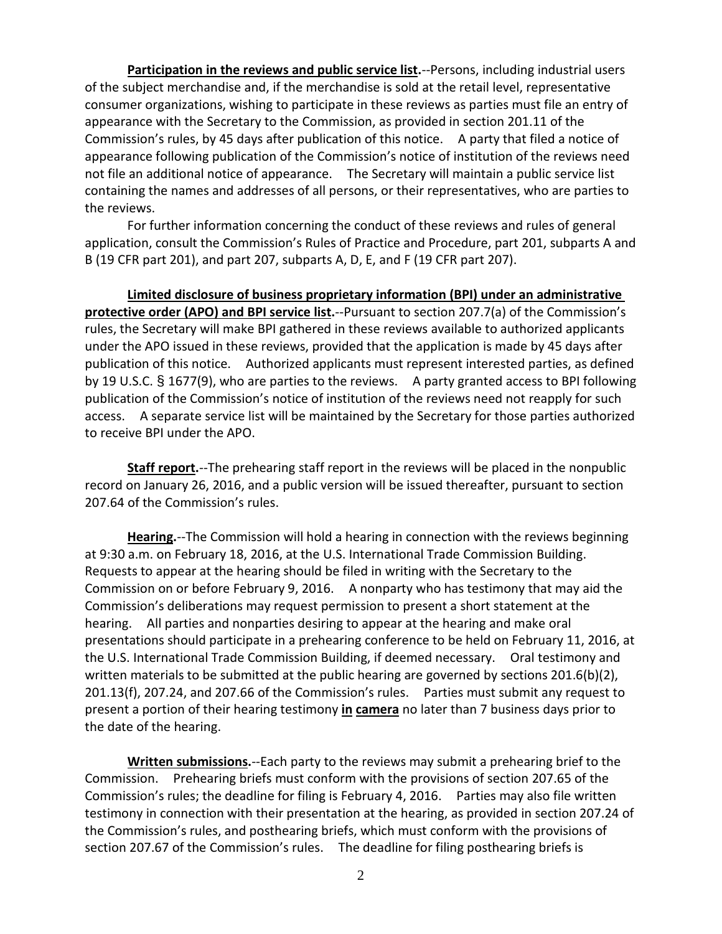**Participation in the reviews and public service list.**--Persons, including industrial users of the subject merchandise and, if the merchandise is sold at the retail level, representative consumer organizations, wishing to participate in these reviews as parties must file an entry of appearance with the Secretary to the Commission, as provided in section 201.11 of the Commission's rules, by 45 days after publication of this notice. A party that filed a notice of appearance following publication of the Commission's notice of institution of the reviews need not file an additional notice of appearance. The Secretary will maintain a public service list containing the names and addresses of all persons, or their representatives, who are parties to the reviews.

For further information concerning the conduct of these reviews and rules of general application, consult the Commission's Rules of Practice and Procedure, part 201, subparts A and B (19 CFR part 201), and part 207, subparts A, D, E, and F (19 CFR part 207).

**Limited disclosure of business proprietary information (BPI) under an administrative protective order (APO) and BPI service list.**--Pursuant to section 207.7(a) of the Commission's rules, the Secretary will make BPI gathered in these reviews available to authorized applicants under the APO issued in these reviews, provided that the application is made by 45 days after publication of this notice. Authorized applicants must represent interested parties, as defined by 19 U.S.C. § 1677(9), who are parties to the reviews. A party granted access to BPI following publication of the Commission's notice of institution of the reviews need not reapply for such access. A separate service list will be maintained by the Secretary for those parties authorized to receive BPI under the APO.

**Staff report.**--The prehearing staff report in the reviews will be placed in the nonpublic record on January 26, 2016, and a public version will be issued thereafter, pursuant to section 207.64 of the Commission's rules.

**Hearing.**--The Commission will hold a hearing in connection with the reviews beginning at 9:30 a.m. on February 18, 2016, at the U.S. International Trade Commission Building. Requests to appear at the hearing should be filed in writing with the Secretary to the Commission on or before February 9, 2016. A nonparty who has testimony that may aid the Commission's deliberations may request permission to present a short statement at the hearing. All parties and nonparties desiring to appear at the hearing and make oral presentations should participate in a prehearing conference to be held on February 11, 2016, at the U.S. International Trade Commission Building, if deemed necessary. Oral testimony and written materials to be submitted at the public hearing are governed by sections  $201.6(b)(2)$ , 201.13(f), 207.24, and 207.66 of the Commission's rules. Parties must submit any request to present a portion of their hearing testimony **in camera** no later than 7 business days prior to the date of the hearing.

**Written submissions.**--Each party to the reviews may submit a prehearing brief to the Commission. Prehearing briefs must conform with the provisions of section 207.65 of the Commission's rules; the deadline for filing is February 4, 2016. Parties may also file written testimony in connection with their presentation at the hearing, as provided in section 207.24 of the Commission's rules, and posthearing briefs, which must conform with the provisions of section 207.67 of the Commission's rules. The deadline for filing posthearing briefs is